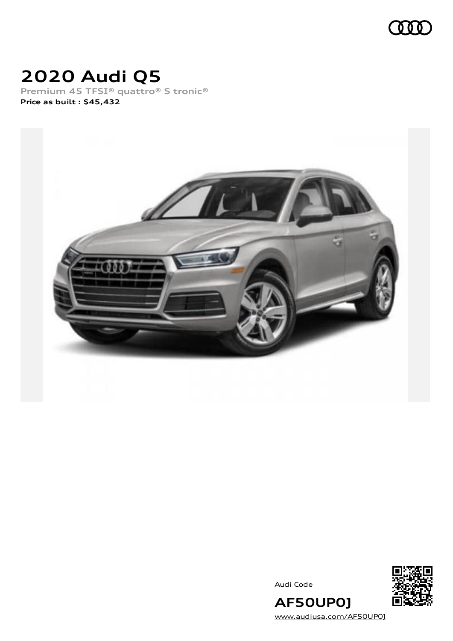

# **2020 Audi Q5**

**Premium 45 TFSI® quattro® S tronic® Price as built [:](#page-8-0) \$45,432**



Audi Code



[www.audiusa.com/AF50UP0J](https://www.audiusa.com/AF50UP0J)

**AF50UP0J**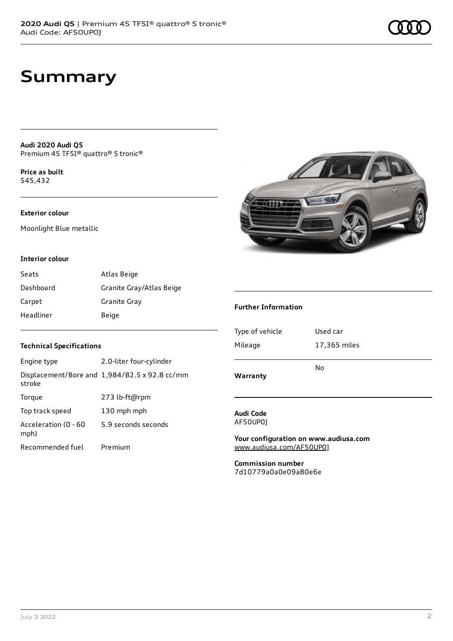# **Summary**

**Audi 2020 Audi Q5** Premium 45 TFSI® quattro® S tronic®

**Price as buil[t](#page-8-0)** \$45,432

### **Exterior colour**

Moonlight Blue metallic



### **Interior colour**

| Seats     | Atlas Beige              |
|-----------|--------------------------|
| Dashboard | Granite Gray/Atlas Beige |
| Carpet    | Granite Gray             |
| Headliner | Beige                    |

### **Technical Specifications**

| Engine type                  | 2.0-liter four-cylinder                       |
|------------------------------|-----------------------------------------------|
| stroke                       | Displacement/Bore and 1,984/82.5 x 92.8 cc/mm |
| Torque                       | 273 lb-ft@rpm                                 |
| Top track speed              | 130 mph mph                                   |
| Acceleration (0 - 60<br>mph) | 5.9 seconds seconds                           |
| Recommended fuel             | Premium                                       |

### **Further Information**

| Mileage  | 17,365 miles |
|----------|--------------|
| Warranty | N٥           |

#### **Audi Code** AF50UP0J

**Your configuration on www.audiusa.com** [www.audiusa.com/AF50UP0J](https://www.audiusa.com/AF50UP0J)

**Commission number** 7d10779a0a0e09a80e6e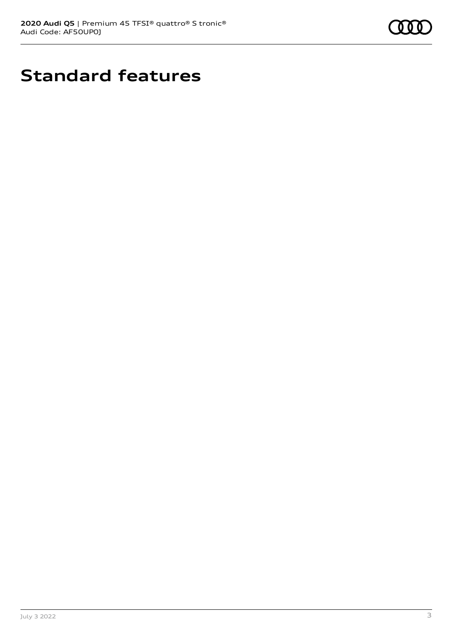

# **Standard features**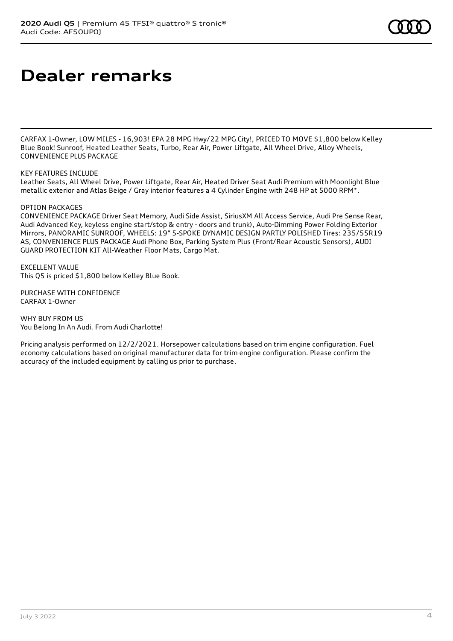# **Dealer remarks**

CARFAX 1-Owner, LOW MILES - 16,903! EPA 28 MPG Hwy/22 MPG City!, PRICED TO MOVE \$1,800 below Kelley Blue Book! Sunroof, Heated Leather Seats, Turbo, Rear Air, Power Liftgate, All Wheel Drive, Alloy Wheels, CONVENIENCE PLUS PACKAGE

#### KEY FEATURES INCLUDE

Leather Seats, All Wheel Drive, Power Liftgate, Rear Air, Heated Driver Seat Audi Premium with Moonlight Blue metallic exterior and Atlas Beige / Gray interior features a 4 Cylinder Engine with 248 HP at 5000 RPM\*.

#### OPTION PACKAGES

CONVENIENCE PACKAGE Driver Seat Memory, Audi Side Assist, SiriusXM All Access Service, Audi Pre Sense Rear, Audi Advanced Key, keyless engine start/stop & entry - doors and trunk), Auto-Dimming Power Folding Exterior Mirrors, PANORAMIC SUNROOF, WHEELS: 19" 5-SPOKE DYNAMIC DESIGN PARTLY POLISHED Tires: 235/55R19 AS, CONVENIENCE PLUS PACKAGE Audi Phone Box, Parking System Plus (Front/Rear Acoustic Sensors), AUDI GUARD PROTECTION KIT All-Weather Floor Mats, Cargo Mat.

EXCELLENT VALUE This Q5 is priced \$1,800 below Kelley Blue Book.

PURCHASE WITH CONFIDENCE CARFAX 1-Owner

WHY BUY FROM US You Belong In An Audi. From Audi Charlotte!

Pricing analysis performed on 12/2/2021. Horsepower calculations based on trim engine configuration. Fuel economy calculations based on original manufacturer data for trim engine configuration. Please confirm the accuracy of the included equipment by calling us prior to purchase.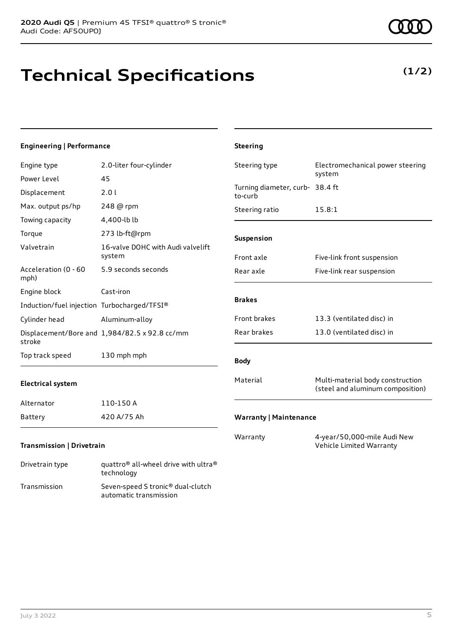# **Technical Specifications**

### **Engineering | Performance**

| Engine type                                 | 2.0-liter four-cylinder                       | Steering type                              | Electromechanical power steering                                     |
|---------------------------------------------|-----------------------------------------------|--------------------------------------------|----------------------------------------------------------------------|
| Power Level                                 | 45                                            |                                            | system                                                               |
| Displacement                                | 2.01                                          | Turning diameter, curb- 38.4 ft<br>to-curb |                                                                      |
| Max. output ps/hp                           | 248 @ rpm                                     | Steering ratio                             | 15.8:1                                                               |
| Towing capacity                             | 4,400-lb lb                                   |                                            |                                                                      |
| Torque                                      | 273 lb-ft@rpm                                 | Suspension                                 |                                                                      |
| Valvetrain                                  | 16-valve DOHC with Audi valvelift<br>system   | Front axle                                 | Five-link front suspension                                           |
| Acceleration (0 - 60<br>mph)                | 5.9 seconds seconds                           | Rear axle                                  | Five-link rear suspension                                            |
| Engine block                                | Cast-iron                                     |                                            |                                                                      |
| Induction/fuel injection Turbocharged/TFSI® |                                               | <b>Brakes</b>                              |                                                                      |
| Cylinder head                               | Aluminum-alloy                                | Front brakes                               | 13.3 (ventilated disc) in                                            |
| stroke                                      | Displacement/Bore and 1,984/82.5 x 92.8 cc/mm | Rear brakes                                | 13.0 (ventilated disc) in                                            |
| Top track speed                             | 130 mph mph                                   | <b>Body</b>                                |                                                                      |
| <b>Electrical system</b>                    |                                               | Material                                   | Multi-material body construction<br>(steel and aluminum composition) |
| Alternator                                  | 110-150 A                                     |                                            |                                                                      |
| Battery                                     | 420 A/75 Ah                                   | <b>Warranty   Maintenance</b>              |                                                                      |
| <b>Transmission   Drivetrain</b>            |                                               | Warranty                                   | 4-year/50,000-mile Audi New<br>Vehicle Limited Warranty              |

**Steering**

Drivetrain type quattro® all-wheel drive with ultra® technology Transmission Seven-speed S tronic® dual-clutch automatic transmission

### **(1/2)**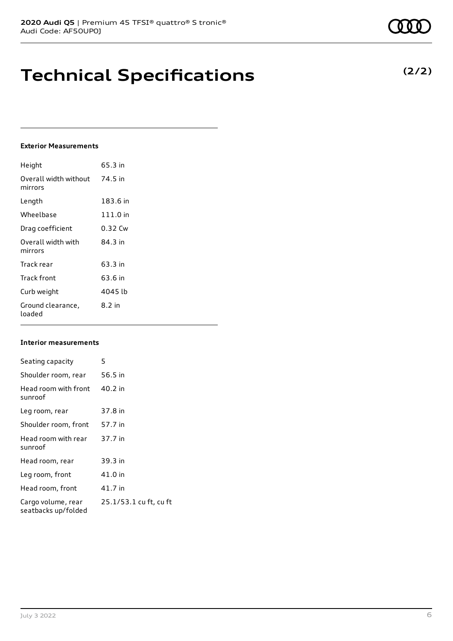# **Technical Specifications**

### **Exterior Measurements**

| Height                           | 65.3 in  |
|----------------------------------|----------|
| Overall width without<br>mirrors | 74.5 in  |
| Length                           | 183.6 in |
| Wheelbase                        | 111.0 in |
| Drag coefficient                 | 0.32 Cw  |
| Overall width with<br>mirrors    | 84 3 in  |
| Track rear                       | 63.3 in  |
| Track front                      | 63.6 in  |
| Curb weight                      | 4045 lb  |
| Ground clearance,<br>loaded      | 8.2 in   |

### **Interior measurements**

| Seating capacity                          | 5                      |
|-------------------------------------------|------------------------|
| Shoulder room, rear                       | 56.5 in                |
| Head room with front<br>sunroof           | 40.2 in                |
| Leg room, rear                            | 37.8 in                |
| Shoulder room, front                      | 57.7 in                |
| Head room with rear<br>sunroof            | 37.7 in                |
| Head room, rear                           | 39.3 in                |
| Leg room, front                           | 41.0 in                |
| Head room, front                          | 41.7 in                |
| Cargo volume, rear<br>seatbacks up/folded | 25.1/53.1 cu ft, cu ft |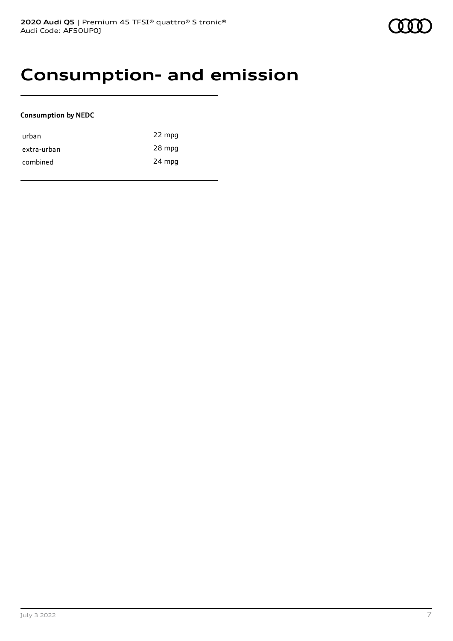### **Consumption- and emission**

### **Consumption by NEDC**

| urban       | 22 mpg |
|-------------|--------|
| extra-urban | 28 mpg |
| combined    | 24 mpg |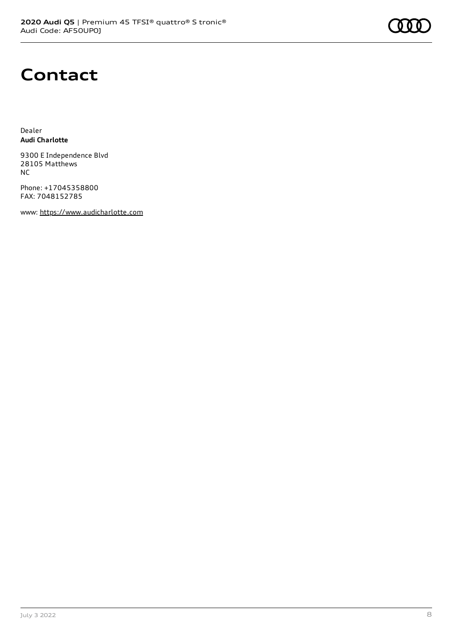# **Contact**

Dealer **Audi Charlotte**

9300 E Independence Blvd 28105 Matthews NC

Phone: +17045358800 FAX: 7048152785

www: [https://www.audicharlotte.com](https://www.audicharlotte.com/)